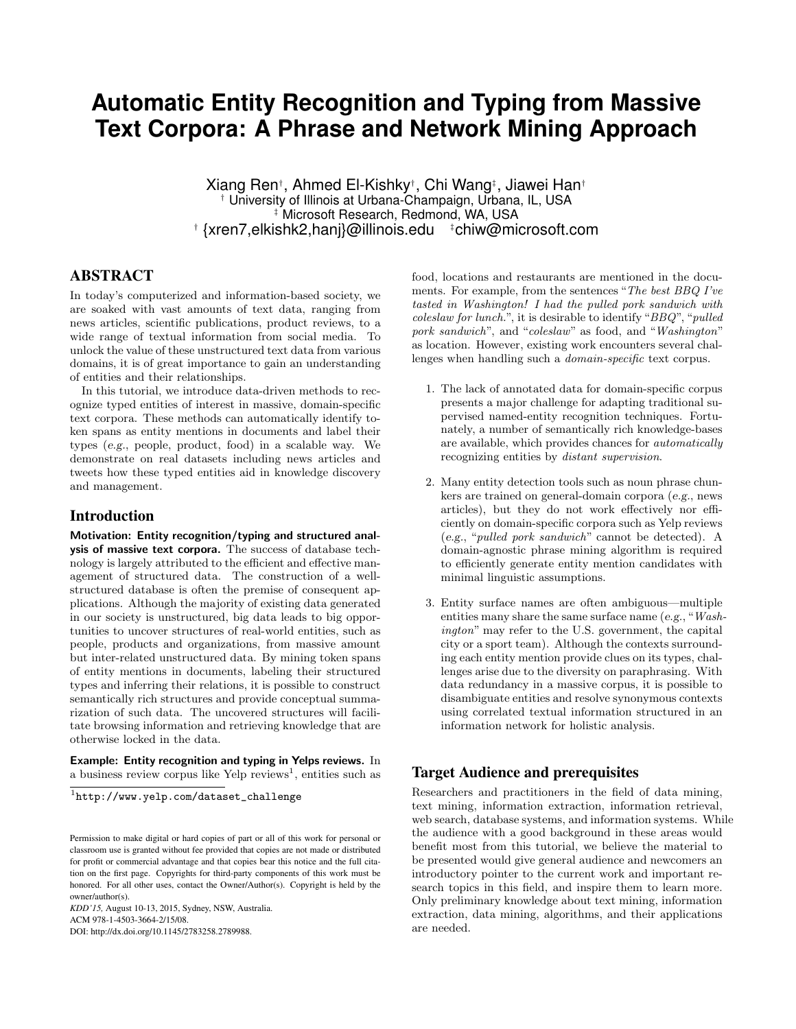# **Automatic Entity Recognition and Typing from Massive Text Corpora: A Phrase and Network Mining Approach**

Xiang Ren† , Ahmed El-Kishky† , Chi Wang‡ , Jiawei Han† † University of Illinois at Urbana-Champaign, Urbana, IL, USA ‡ Microsoft Research, Redmond, WA, USA † {xren7,elkishk2,hanj}@illinois.edu ‡chiw@microsoft.com

# ABSTRACT

In today's computerized and information-based society, we are soaked with vast amounts of text data, ranging from news articles, scientific publications, product reviews, to a wide range of textual information from social media. To unlock the value of these unstructured text data from various domains, it is of great importance to gain an understanding of entities and their relationships.

In this tutorial, we introduce data-driven methods to recognize typed entities of interest in massive, domain-specific text corpora. These methods can automatically identify token spans as entity mentions in documents and label their types (e.g., people, product, food) in a scalable way. We demonstrate on real datasets including news articles and tweets how these typed entities aid in knowledge discovery and management.

#### Introduction

Motivation: Entity recognition/typing and structured analysis of massive text corpora. The success of database technology is largely attributed to the efficient and effective management of structured data. The construction of a wellstructured database is often the premise of consequent applications. Although the majority of existing data generated in our society is unstructured, big data leads to big opportunities to uncover structures of real-world entities, such as people, products and organizations, from massive amount but inter-related unstructured data. By mining token spans of entity mentions in documents, labeling their structured types and inferring their relations, it is possible to construct semantically rich structures and provide conceptual summarization of such data. The uncovered structures will facilitate browsing information and retrieving knowledge that are otherwise locked in the data.

Example: Entity recognition and typing in Yelps reviews. In a business review corpus like Yelp reviews<sup>1</sup>, entities such as

1 http://www.yelp.com/dataset\_challenge

*KDD'15,* August 10-13, 2015, Sydney, NSW, Australia. ACM 978-1-4503-3664-2/15/08. DOI: http://dx.doi.org/10.1145/2783258.2789988.

food, locations and restaurants are mentioned in the documents. For example, from the sentences "The best BBQ I've tasted in Washington! I had the pulled pork sandwich with coleslaw for lunch.", it is desirable to identify "BBQ", "pulled pork sandwich", and "coleslaw" as food, and "Washington" as location. However, existing work encounters several challenges when handling such a domain-specific text corpus.

- 1. The lack of annotated data for domain-specific corpus presents a major challenge for adapting traditional supervised named-entity recognition techniques. Fortunately, a number of semantically rich knowledge-bases are available, which provides chances for automatically recognizing entities by distant supervision.
- 2. Many entity detection tools such as noun phrase chunkers are trained on general-domain corpora (e.g., news articles), but they do not work effectively nor efficiently on domain-specific corpora such as Yelp reviews (e.g., "pulled pork sandwich" cannot be detected). A domain-agnostic phrase mining algorithm is required to efficiently generate entity mention candidates with minimal linguistic assumptions.
- 3. Entity surface names are often ambiguous—multiple entities many share the same surface name (e.g., "Washington" may refer to the U.S. government, the capital city or a sport team). Although the contexts surrounding each entity mention provide clues on its types, challenges arise due to the diversity on paraphrasing. With data redundancy in a massive corpus, it is possible to disambiguate entities and resolve synonymous contexts using correlated textual information structured in an information network for holistic analysis.

### Target Audience and prerequisites

Researchers and practitioners in the field of data mining, text mining, information extraction, information retrieval, web search, database systems, and information systems. While the audience with a good background in these areas would benefit most from this tutorial, we believe the material to be presented would give general audience and newcomers an introductory pointer to the current work and important research topics in this field, and inspire them to learn more. Only preliminary knowledge about text mining, information extraction, data mining, algorithms, and their applications are needed.

Permission to make digital or hard copies of part or all of this work for personal or classroom use is granted without fee provided that copies are not made or distributed for profit or commercial advantage and that copies bear this notice and the full citation on the first page. Copyrights for third-party components of this work must be honored. For all other uses, contact the Owner/Author(s). Copyright is held by the owner/author(s).